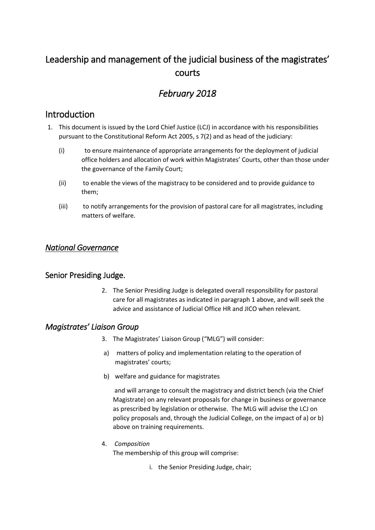# Leadership and management of the judicial business of the magistrates' courts

# *February 2018*

## Introduction

- 1. This document is issued by the Lord Chief Justice (LCJ) in accordance with his responsibilities pursuant to the Constitutional Reform Act 2005, s 7(2) and as head of the judiciary:
	- (i) to ensure maintenance of appropriate arrangements for the deployment of judicial office holders and allocation of work within Magistrates' Courts, other than those under the governance of the Family Court;
	- (ii) to enable the views of the magistracy to be considered and to provide guidance to them;
	- (iii) to notify arrangements for the provision of pastoral care for all magistrates, including matters of welfare.

## *National Governance*

## Senior Presiding Judge.

2. The Senior Presiding Judge is delegated overall responsibility for pastoral care for all magistrates as indicated in paragraph 1 above, and will seek the advice and assistance of Judicial Office HR and JICO when relevant.

## *Magistrates' Liaison Group*

- 3. The Magistrates' Liaison Group ("MLG") will consider:
- a) matters of policy and implementation relating to the operation of magistrates' courts;
- b) welfare and guidance for magistrates

and will arrange to consult the magistracy and district bench (via the Chief Magistrate) on any relevant proposals for change in business or governance as prescribed by legislation or otherwise. The MLG will advise the LCJ on policy proposals and, through the Judicial College, on the impact of a) or b) above on training requirements.

4. *Composition*

The membership of this group will comprise:

i. the Senior Presiding Judge, chair;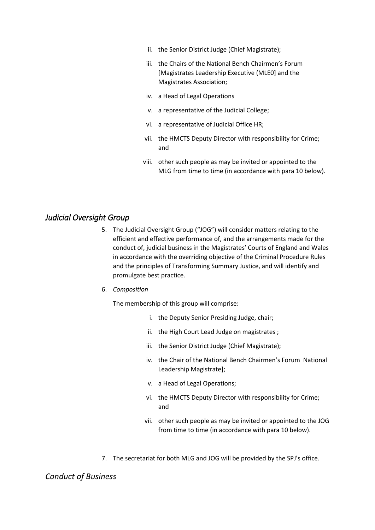- ii. the Senior District Judge (Chief Magistrate);
- iii. the Chairs of the National Bench Chairmen's Forum [Magistrates Leadership Executive (MLE0] and the Magistrates Association;
- iv. a Head of Legal Operations
- v. a representative of the Judicial College;
- vi. a representative of Judicial Office HR;
- vii. the HMCTS Deputy Director with responsibility for Crime; and
- viii. other such people as may be invited or appointed to the MLG from time to time (in accordance with para 10 below).

### *Judicial Oversight Group*

- 5. The Judicial Oversight Group ("JOG") will consider matters relating to the efficient and effective performance of, and the arrangements made for the conduct of, judicial business in the Magistrates' Courts of England and Wales in accordance with the overriding objective of the Criminal Procedure Rules and the principles of Transforming Summary Justice, and will identify and promulgate best practice.
- 6. *Composition*

The membership of this group will comprise:

- i. the Deputy Senior Presiding Judge, chair;
- ii. the High Court Lead Judge on magistrates ;
- iii. the Senior District Judge (Chief Magistrate);
- iv. the Chair of the National Bench Chairmen's Forum National Leadership Magistrate];
- v. a Head of Legal Operations;
- vi. the HMCTS Deputy Director with responsibility for Crime; and
- vii. other such people as may be invited or appointed to the JOG from time to time (in accordance with para 10 below).
- 7. The secretariat for both MLG and JOG will be provided by the SPJ's office.

*Conduct of Business*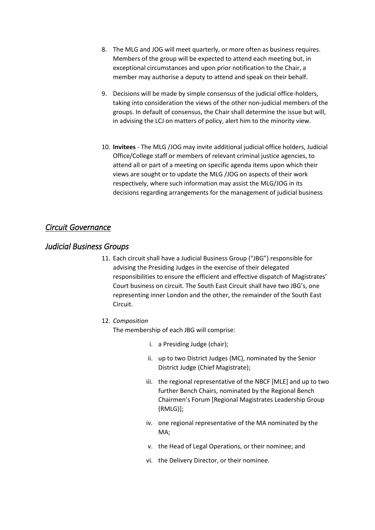- 8. The MLG and JOG will meet quarterly, or more often as business requires. Members of the group will be expected to attend each meeting but, in exceptional circumstances and upon prior notification to the Chair, a member may authorise a deputy to attend and speak on their behalf.
- 9. Decisions will be made by simple consensus of the judicial office-holders, taking into consideration the views of the other non-judicial members of the groups. In default of consensus, the Chair shall determine the issue but will, in advising the LCJ on matters of policy, alert him to the minority view.
- 10. **Invitees**  The MLG /JOG may invite additional judicial office holders, Judicial Office/College staff or members of relevant criminal justice agencies, to attend all or part of a meeting on specific agenda items upon which their views are sought or to update the MLG /JOG on aspects of their work respectively, where such information may assist the MLG/JOG in its decisions regarding arrangements for the management of judicial business

## *Circuit Governance*

## *Judicial Business Groups*

11. Each circuit shall have a Judicial Business Group ("JBG") responsible for advising the Presiding Judges in the exercise of their delegated responsibilities to ensure the efficient and effective dispatch of Magistrates' Court business on circuit. The South East Circuit shall have two JBG's, one representing inner London and the other, the remainder of the South East Circuit.

#### 12. *Composition*

The membership of each JBG will comprise:

- i. a Presiding Judge (chair);
- ii. up to two District Judges (MC), nominated by the Senior District Judge (Chief Magistrate);
- iii. the regional representative of the NBCF [MLE] and up to two further Bench Chairs, nominated by the Regional Bench Chairmen's Forum [Regional Magistrates Leadership Group (RMLG)];
- iv. one regional representative of the MA nominated by the MA;
- v. the Head of Legal Operations, or their nominee; and
- vi. the Delivery Director, or their nominee.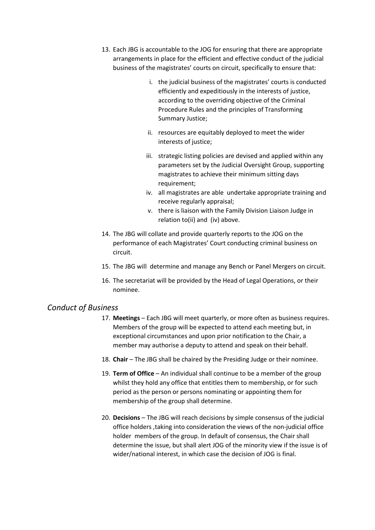- 13. Each JBG is accountable to the JOG for ensuring that there are appropriate arrangements in place for the efficient and effective conduct of the judicial business of the magistrates' courts on circuit, specifically to ensure that:
	- i. the judicial business of the magistrates' courts is conducted efficiently and expeditiously in the interests of justice, according to the overriding objective of the Criminal Procedure Rules and the principles of Transforming Summary Justice;
	- ii. resources are equitably deployed to meet the wider interests of justice:
	- iii. strategic listing policies are devised and applied within any parameters set by the Judicial Oversight Group, supporting magistrates to achieve their minimum sitting days requirement;
	- iv. all magistrates are able undertake appropriate training and receive regularly appraisal;
	- v. there is liaison with the Family Division Liaison Judge in relation to(ii) and (iv) above.
- 14. The JBG will collate and provide quarterly reports to the JOG on the performance of each Magistrates' Court conducting criminal business on circuit.
- 15. The JBG will determine and manage any Bench or Panel Mergers on circuit.
- 16. The secretariat will be provided by the Head of Legal Operations, or their nominee.

#### *Conduct of Business*

- 17. **Meetings**  Each JBG will meet quarterly, or more often as business requires. Members of the group will be expected to attend each meeting but, in exceptional circumstances and upon prior notification to the Chair, a member may authorise a deputy to attend and speak on their behalf.
- 18. **Chair**  The JBG shall be chaired by the Presiding Judge or their nominee.
- 19. **Term of Office**  An individual shall continue to be a member of the group whilst they hold any office that entitles them to membership, or for such period as the person or persons nominating or appointing them for membership of the group shall determine.
- 20. **Decisions**  The JBG will reach decisions by simple consensus of the judicial office holders ,taking into consideration the views of the non-judicial office holder members of the group. In default of consensus, the Chair shall determine the issue, but shall alert JOG of the minority view if the issue is of wider/national interest, in which case the decision of JOG is final.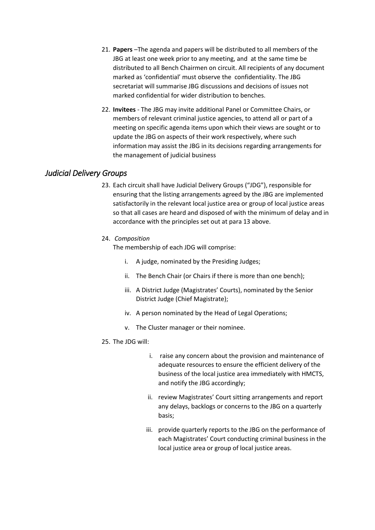- 21. **Papers** –The agenda and papers will be distributed to all members of the JBG at least one week prior to any meeting, and at the same time be distributed to all Bench Chairmen on circuit. All recipients of any document marked as 'confidential' must observe the confidentiality. The JBG secretariat will summarise JBG discussions and decisions of issues not marked confidential for wider distribution to benches.
- 22. **Invitees**  The JBG may invite additional Panel or Committee Chairs, or members of relevant criminal justice agencies, to attend all or part of a meeting on specific agenda items upon which their views are sought or to update the JBG on aspects of their work respectively, where such information may assist the JBG in its decisions regarding arrangements for the management of judicial business

## *Judicial Delivery Groups*

23. Each circuit shall have Judicial Delivery Groups ("JDG"), responsible for ensuring that the listing arrangements agreed by the JBG are implemented satisfactorily in the relevant local justice area or group of local justice areas so that all cases are heard and disposed of with the minimum of delay and in accordance with the principles set out at para 13 above.

#### 24. *Composition*

The membership of each JDG will comprise:

- i. A judge, nominated by the Presiding Judges;
- ii. The Bench Chair (or Chairs if there is more than one bench);
- iii. A District Judge (Magistrates' Courts), nominated by the Senior District Judge (Chief Magistrate);
- iv. A person nominated by the Head of Legal Operations;
- v. The Cluster manager or their nominee.

#### 25. The JDG will:

- i. raise any concern about the provision and maintenance of adequate resources to ensure the efficient delivery of the business of the local justice area immediately with HMCTS, and notify the JBG accordingly;
- ii. review Magistrates' Court sitting arrangements and report any delays, backlogs or concerns to the JBG on a quarterly basis;
- iii. provide quarterly reports to the JBG on the performance of each Magistrates' Court conducting criminal business in the local justice area or group of local justice areas.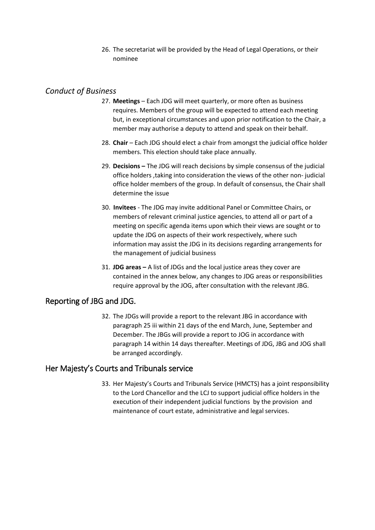26. The secretariat will be provided by the Head of Legal Operations, or their nominee

## *Conduct of Business*

- 27. **Meetings** Each JDG will meet quarterly, or more often as business requires. Members of the group will be expected to attend each meeting but, in exceptional circumstances and upon prior notification to the Chair, a member may authorise a deputy to attend and speak on their behalf.
- 28. **Chair** Each JDG should elect a chair from amongst the judicial office holder members. This election should take place annually.
- 29. **Decisions –** The JDG will reach decisions by simple consensus of the judicial office holders ,taking into consideration the views of the other non- judicial office holder members of the group. In default of consensus, the Chair shall determine the issue
- 30. **Invitees**  The JDG may invite additional Panel or Committee Chairs, or members of relevant criminal justice agencies, to attend all or part of a meeting on specific agenda items upon which their views are sought or to update the JDG on aspects of their work respectively, where such information may assist the JDG in its decisions regarding arrangements for the management of judicial business
- 31. **JDG areas –** A list of JDGs and the local justice areas they cover are contained in the annex below, any changes to JDG areas or responsibilities require approval by the JOG, after consultation with the relevant JBG.

## Reporting of JBG and JDG.

32. The JDGs will provide a report to the relevant JBG in accordance with paragraph 25 iii within 21 days of the end March, June, September and December. The JBGs will provide a report to JOG in accordance with paragraph 14 within 14 days thereafter. Meetings of JDG, JBG and JOG shall be arranged accordingly.

## Her Majesty's Courts and Tribunals service

33. Her Majesty's Courts and Tribunals Service (HMCTS) has a joint responsibility to the Lord Chancellor and the LCJ to support judicial office holders in the execution of their independent judicial functions by the provision and maintenance of court estate, administrative and legal services.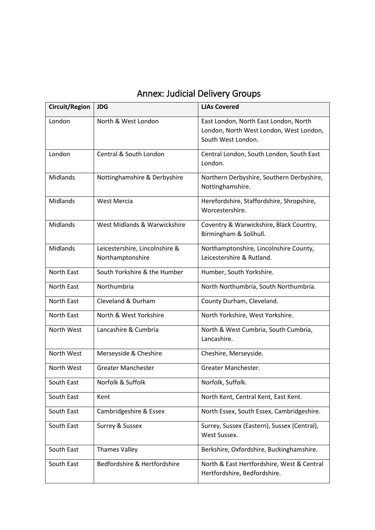| Circuit/Region | <b>JDG</b>                                         | <b>LJAs Covered</b>                                                                                    |
|----------------|----------------------------------------------------|--------------------------------------------------------------------------------------------------------|
| London         | North & West London                                | East London, North East London, North<br>London, North West London, West London,<br>South West London. |
| London         | Central & South London                             | Central London, South London, South East<br>London.                                                    |
| Midlands       | Nottinghamshire & Derbyshire                       | Northern Derbyshire, Southern Derbyshire,<br>Nottinghamshire.                                          |
| Midlands       | West Mercia                                        | Herefordshire, Staffordshire, Shropshire,<br>Worcestershire.                                           |
| Midlands       | West Midlands & Warwickshire                       | Coventry & Warwickshire, Black Country,<br>Birmingham & Solihull.                                      |
| Midlands       | Leicestershire, Lincolnshire &<br>Northamptonshire | Northamptonshire, Lincolnshire County,<br>Leicestershire & Rutland.                                    |
| North East     | South Yorkshire & the Humber                       | Humber, South Yorkshire.                                                                               |
| North East     | Northumbria                                        | North Northumbria, South Northumbria.                                                                  |
| North East     | Cleveland & Durham                                 | County Durham, Cleveland.                                                                              |
| North East     | North & West Yorkshire                             | North Yorkshire, West Yorkshire.                                                                       |
| North West     | Lancashire & Cumbria                               | North & West Cumbria, South Cumbria,<br>Lancashire.                                                    |
| North West     | Merseyside & Cheshire                              | Cheshire, Merseyside.                                                                                  |
| North West     | <b>Greater Manchester</b>                          | Greater Manchester.                                                                                    |
| South East     | Norfolk & Suffolk                                  | Norfolk, Suffolk.                                                                                      |
| South East     | Kent                                               | North Kent, Central Kent, East Kent.                                                                   |
| South East     | Cambridgeshire & Essex                             | North Essex, South Essex, Cambridgeshire.                                                              |
| South East     | Surrey & Sussex                                    | Surrey, Sussex (Eastern), Sussex (Central),<br>West Sussex.                                            |
| South East     | <b>Thames Valley</b>                               | Berkshire, Oxfordshire, Buckinghamshire.                                                               |
| South East     | Bedfordshire & Hertfordshire                       | North & East Hertfordshire, West & Central<br>Hertfordshire, Bedfordshire.                             |

# Annex: Judicial Delivery Groups